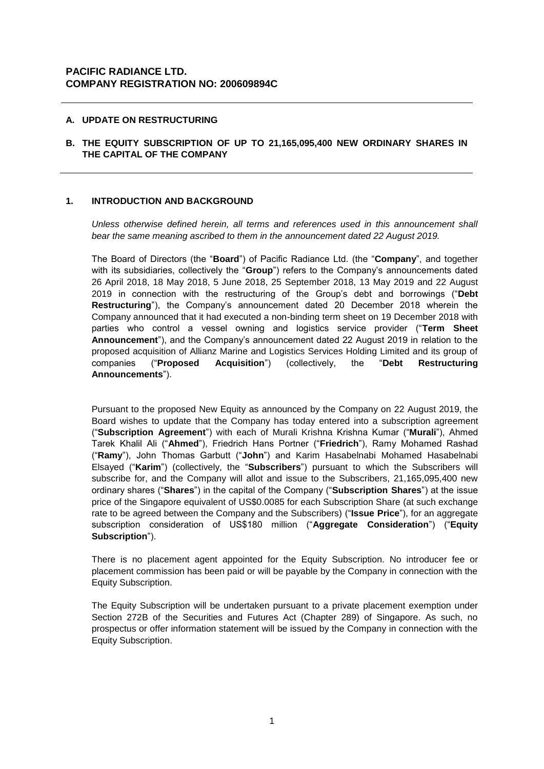# **PACIFIC RADIANCE LTD. COMPANY REGISTRATION NO: 200609894C**

## **A. UPDATE ON RESTRUCTURING**

## **B. THE EQUITY SUBSCRIPTION OF UP TO 21,165,095,400 NEW ORDINARY SHARES IN THE CAPITAL OF THE COMPANY**

### **1. INTRODUCTION AND BACKGROUND**

*Unless otherwise defined herein, all terms and references used in this announcement shall bear the same meaning ascribed to them in the announcement dated 22 August 2019.* 

The Board of Directors (the "**Board**") of Pacific Radiance Ltd. (the "**Company**", and together with its subsidiaries, collectively the "**Group**") refers to the Company's announcements dated 26 April 2018, 18 May 2018, 5 June 2018, 25 September 2018, 13 May 2019 and 22 August 2019 in connection with the restructuring of the Group's debt and borrowings ("**Debt Restructuring**"), the Company's announcement dated 20 December 2018 wherein the Company announced that it had executed a non-binding term sheet on 19 December 2018 with parties who control a vessel owning and logistics service provider ("**Term Sheet Announcement**"), and the Company's announcement dated 22 August 2019 in relation to the proposed acquisition of Allianz Marine and Logistics Services Holding Limited and its group of companies ("**Proposed Acquisition**") (collectively, the "**Debt Restructuring Announcements**").

Pursuant to the proposed New Equity as announced by the Company on 22 August 2019, the Board wishes to update that the Company has today entered into a subscription agreement ("**Subscription Agreement**") with each of Murali Krishna Krishna Kumar ("**Murali**"), Ahmed Tarek Khalil Ali ("**Ahmed**"), Friedrich Hans Portner ("**Friedrich**"), Ramy Mohamed Rashad ("**Ramy**"), John Thomas Garbutt ("**John**") and Karim Hasabelnabi Mohamed Hasabelnabi Elsayed ("**Karim**") (collectively, the "**Subscribers**") pursuant to which the Subscribers will subscribe for, and the Company will allot and issue to the Subscribers, 21,165,095,400 new ordinary shares ("**Shares**") in the capital of the Company ("**Subscription Shares**") at the issue price of the Singapore equivalent of US\$0.0085 for each Subscription Share (at such exchange rate to be agreed between the Company and the Subscribers) ("**Issue Price**"), for an aggregate subscription consideration of US\$180 million ("**Aggregate Consideration**") ("**Equity Subscription**").

There is no placement agent appointed for the Equity Subscription. No introducer fee or placement commission has been paid or will be payable by the Company in connection with the Equity Subscription.

The Equity Subscription will be undertaken pursuant to a private placement exemption under Section 272B of the Securities and Futures Act (Chapter 289) of Singapore. As such, no prospectus or offer information statement will be issued by the Company in connection with the Equity Subscription.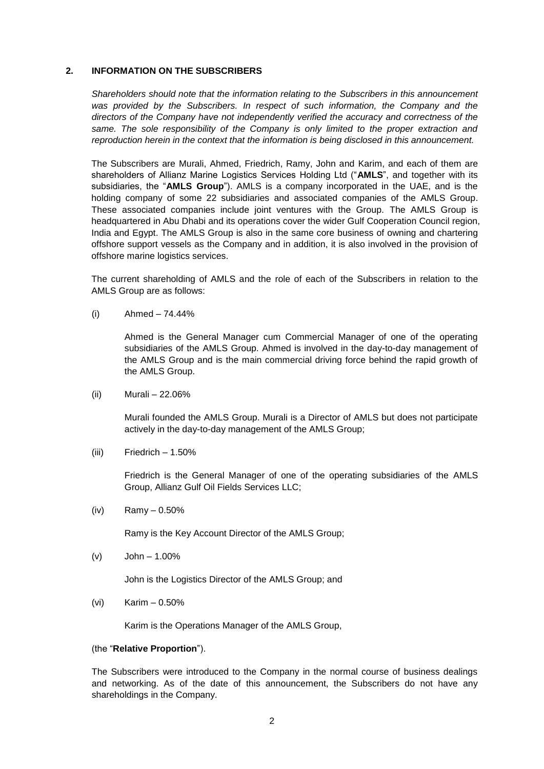### **2. INFORMATION ON THE SUBSCRIBERS**

*Shareholders should note that the information relating to the Subscribers in this announcement*  was provided by the Subscribers. In respect of such information, the Company and the *directors of the Company have not independently verified the accuracy and correctness of the same. The sole responsibility of the Company is only limited to the proper extraction and reproduction herein in the context that the information is being disclosed in this announcement.*

The Subscribers are Murali, Ahmed, Friedrich, Ramy, John and Karim, and each of them are shareholders of Allianz Marine Logistics Services Holding Ltd ("**AMLS**", and together with its subsidiaries, the "**AMLS Group**"). AMLS is a company incorporated in the UAE, and is the holding company of some 22 subsidiaries and associated companies of the AMLS Group. These associated companies include joint ventures with the Group. The AMLS Group is headquartered in Abu Dhabi and its operations cover the wider Gulf Cooperation Council region, India and Egypt. The AMLS Group is also in the same core business of owning and chartering offshore support vessels as the Company and in addition, it is also involved in the provision of offshore marine logistics services.

The current shareholding of AMLS and the role of each of the Subscribers in relation to the AMLS Group are as follows:

 $(i)$  Ahmed – 74.44%

Ahmed is the General Manager cum Commercial Manager of one of the operating subsidiaries of the AMLS Group. Ahmed is involved in the day-to-day management of the AMLS Group and is the main commercial driving force behind the rapid growth of the AMLS Group.

(ii) Murali – 22.06%

Murali founded the AMLS Group. Murali is a Director of AMLS but does not participate actively in the day-to-day management of the AMLS Group;

 $(iii)$  Friedrich – 1.50%

Friedrich is the General Manager of one of the operating subsidiaries of the AMLS Group, Allianz Gulf Oil Fields Services LLC;

 $(iv)$  Ramy – 0.50%

Ramy is the Key Account Director of the AMLS Group;

(v) John – 1.00%

John is the Logistics Director of the AMLS Group; and

(vi) Karim – 0.50%

Karim is the Operations Manager of the AMLS Group,

#### (the "**Relative Proportion**").

The Subscribers were introduced to the Company in the normal course of business dealings and networking. As of the date of this announcement, the Subscribers do not have any shareholdings in the Company.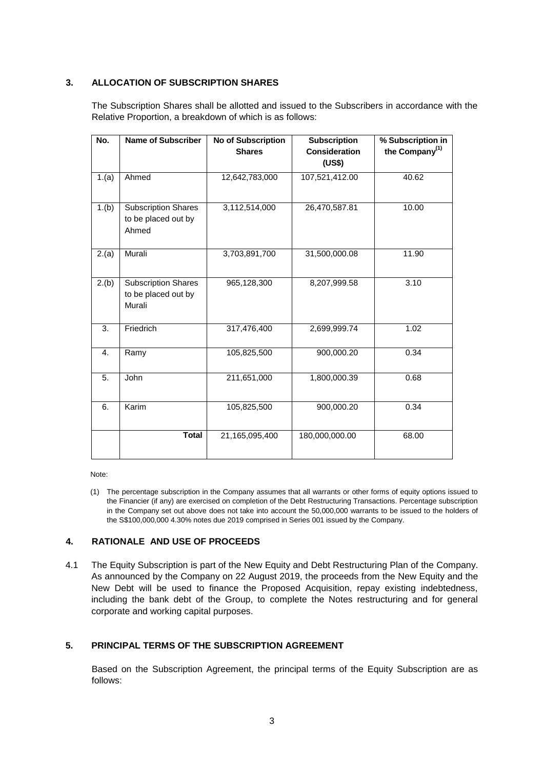## **3. ALLOCATION OF SUBSCRIPTION SHARES**

The Subscription Shares shall be allotted and issued to the Subscribers in accordance with the Relative Proportion, a breakdown of which is as follows:

| No.   | <b>Name of Subscriber</b>  | <b>No of Subscription</b> | <b>Subscription</b>  | % Subscription in |
|-------|----------------------------|---------------------------|----------------------|-------------------|
|       |                            | <b>Shares</b>             | <b>Consideration</b> | the Company $(1)$ |
|       |                            |                           | (US\$)               |                   |
| 1.(a) | Ahmed                      | 12,642,783,000            | 107,521,412.00       | 40.62             |
|       |                            |                           |                      |                   |
| 1.(b) | <b>Subscription Shares</b> | 3,112,514,000             | 26,470,587.81        | 10.00             |
|       | to be placed out by        |                           |                      |                   |
|       | Ahmed                      |                           |                      |                   |
|       |                            |                           |                      |                   |
| 2.(a) | Murali                     | 3,703,891,700             | 31,500,000.08        | 11.90             |
|       |                            |                           |                      |                   |
| 2.(b) | Subscription Shares        | 965,128,300               | 8,207,999.58         | 3.10              |
|       | to be placed out by        |                           |                      |                   |
|       | Murali                     |                           |                      |                   |
|       |                            |                           |                      |                   |
| 3.    | Friedrich                  | 317,476,400               | 2,699,999.74         | 1.02              |
|       |                            |                           |                      |                   |
| 4.    | Ramy                       | 105,825,500               | 900,000.20           | 0.34              |
|       |                            |                           |                      |                   |
| 5.    | John                       | 211,651,000               | 1,800,000.39         | 0.68              |
|       |                            |                           |                      |                   |
| 6.    | Karim                      | 105,825,500               | 900,000.20           | 0.34              |
|       |                            |                           |                      |                   |
|       | <b>Total</b>               | 21,165,095,400            | 180,000,000.00       | 68.00             |
|       |                            |                           |                      |                   |

Note:

(1) The percentage subscription in the Company assumes that all warrants or other forms of equity options issued to the Financier (if any) are exercised on completion of the Debt Restructuring Transactions. Percentage subscription in the Company set out above does not take into account the 50,000,000 warrants to be issued to the holders of the S\$100,000,000 4.30% notes due 2019 comprised in Series 001 issued by the Company.

# **4. RATIONALE AND USE OF PROCEEDS**

4.1 The Equity Subscription is part of the New Equity and Debt Restructuring Plan of the Company. As announced by the Company on 22 August 2019, the proceeds from the New Equity and the New Debt will be used to finance the Proposed Acquisition, repay existing indebtedness, including the bank debt of the Group, to complete the Notes restructuring and for general corporate and working capital purposes.

## **5. PRINCIPAL TERMS OF THE SUBSCRIPTION AGREEMENT**

Based on the Subscription Agreement, the principal terms of the Equity Subscription are as follows: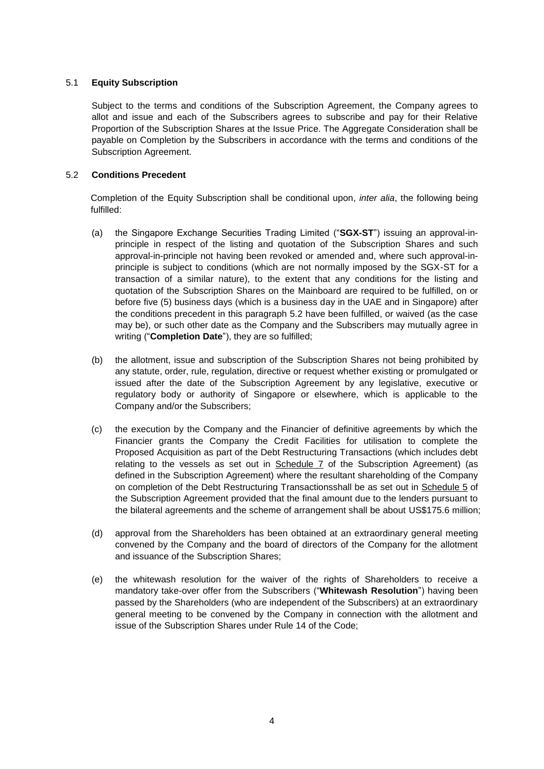## 5.1 **Equity Subscription**

Subject to the terms and conditions of the Subscription Agreement, the Company agrees to allot and issue and each of the Subscribers agrees to subscribe and pay for their Relative Proportion of the Subscription Shares at the Issue Price. The Aggregate Consideration shall be payable on Completion by the Subscribers in accordance with the terms and conditions of the Subscription Agreement.

## 5.2 **Conditions Precedent**

Completion of the Equity Subscription shall be conditional upon, *inter alia*, the following being fulfilled:

- (a) the Singapore Exchange Securities Trading Limited ("**SGX-ST**") issuing an approval-inprinciple in respect of the listing and quotation of the Subscription Shares and such approval-in-principle not having been revoked or amended and, where such approval-inprinciple is subject to conditions (which are not normally imposed by the SGX-ST for a transaction of a similar nature), to the extent that any conditions for the listing and quotation of the Subscription Shares on the Mainboard are required to be fulfilled, on or before five (5) business days (which is a business day in the UAE and in Singapore) after the conditions precedent in this paragraph 5.2 have been fulfilled, or waived (as the case may be), or such other date as the Company and the Subscribers may mutually agree in writing ("**Completion Date**"), they are so fulfilled;
- (b) the allotment, issue and subscription of the Subscription Shares not being prohibited by any statute, order, rule, regulation, directive or request whether existing or promulgated or issued after the date of the Subscription Agreement by any legislative, executive or regulatory body or authority of Singapore or elsewhere, which is applicable to the Company and/or the Subscribers;
- (c) the execution by the Company and the Financier of definitive agreements by which the Financier grants the Company the Credit Facilities for utilisation to complete the Proposed Acquisition as part of the Debt Restructuring Transactions (which includes debt relating to the vessels as set out in  $S$ chedule  $7$  of the Subscription Agreement) (as defined in the Subscription Agreement) where the resultant shareholding of the Company on completion of the Debt Restructuring Transactionsshall be as set out in Schedule 5 of the Subscription Agreement provided that the final amount due to the lenders pursuant to the bilateral agreements and the scheme of arrangement shall be about US\$175.6 million;
- (d) approval from the Shareholders has been obtained at an extraordinary general meeting convened by the Company and the board of directors of the Company for the allotment and issuance of the Subscription Shares;
- (e) the whitewash resolution for the waiver of the rights of Shareholders to receive a mandatory take-over offer from the Subscribers ("**Whitewash Resolution**") having been passed by the Shareholders (who are independent of the Subscribers) at an extraordinary general meeting to be convened by the Company in connection with the allotment and issue of the Subscription Shares under Rule 14 of the Code;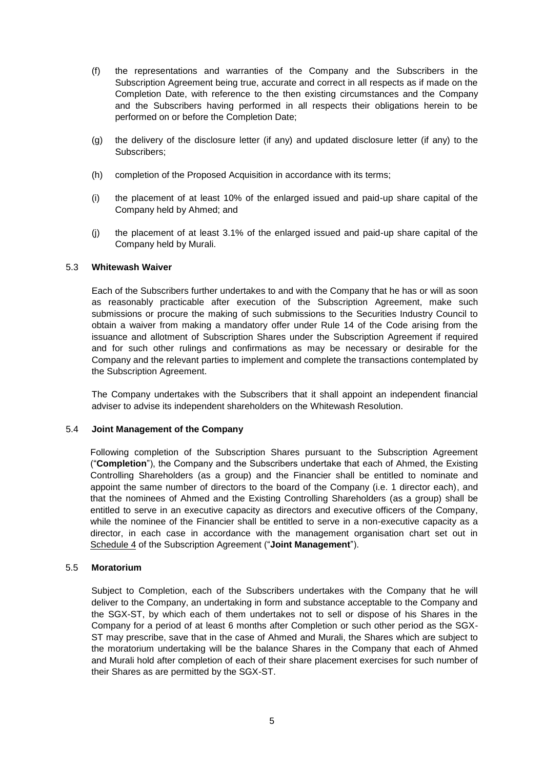- (f) the representations and warranties of the Company and the Subscribers in the Subscription Agreement being true, accurate and correct in all respects as if made on the Completion Date, with reference to the then existing circumstances and the Company and the Subscribers having performed in all respects their obligations herein to be performed on or before the Completion Date;
- (g) the delivery of the disclosure letter (if any) and updated disclosure letter (if any) to the Subscribers;
- (h) completion of the Proposed Acquisition in accordance with its terms;
- (i) the placement of at least 10% of the enlarged issued and paid-up share capital of the Company held by Ahmed; and
- (j) the placement of at least 3.1% of the enlarged issued and paid-up share capital of the Company held by Murali.

### 5.3 **Whitewash Waiver**

Each of the Subscribers further undertakes to and with the Company that he has or will as soon as reasonably practicable after execution of the Subscription Agreement, make such submissions or procure the making of such submissions to the Securities Industry Council to obtain a waiver from making a mandatory offer under Rule 14 of the Code arising from the issuance and allotment of Subscription Shares under the Subscription Agreement if required and for such other rulings and confirmations as may be necessary or desirable for the Company and the relevant parties to implement and complete the transactions contemplated by the Subscription Agreement.

The Company undertakes with the Subscribers that it shall appoint an independent financial adviser to advise its independent shareholders on the Whitewash Resolution.

#### 5.4 **Joint Management of the Company**

Following completion of the Subscription Shares pursuant to the Subscription Agreement ("**Completion**"), the Company and the Subscribers undertake that each of Ahmed, the Existing Controlling Shareholders (as a group) and the Financier shall be entitled to nominate and appoint the same number of directors to the board of the Company (i.e. 1 director each), and that the nominees of Ahmed and the Existing Controlling Shareholders (as a group) shall be entitled to serve in an executive capacity as directors and executive officers of the Company, while the nominee of the Financier shall be entitled to serve in a non-executive capacity as a director, in each case in accordance with the management organisation chart set out in Schedule 4 of the Subscription Agreement ("**Joint Management**").

#### 5.5 **Moratorium**

Subject to Completion, each of the Subscribers undertakes with the Company that he will deliver to the Company, an undertaking in form and substance acceptable to the Company and the SGX-ST, by which each of them undertakes not to sell or dispose of his Shares in the Company for a period of at least 6 months after Completion or such other period as the SGX-ST may prescribe, save that in the case of Ahmed and Murali, the Shares which are subject to the moratorium undertaking will be the balance Shares in the Company that each of Ahmed and Murali hold after completion of each of their share placement exercises for such number of their Shares as are permitted by the SGX-ST.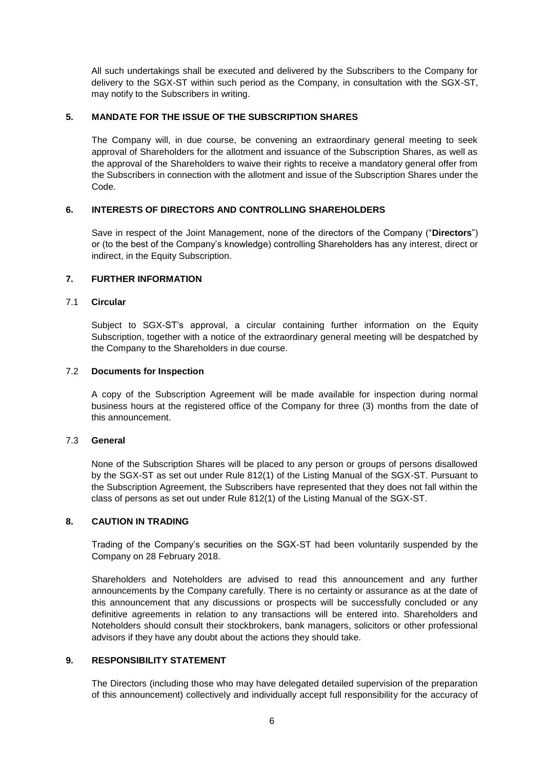All such undertakings shall be executed and delivered by the Subscribers to the Company for delivery to the SGX-ST within such period as the Company, in consultation with the SGX-ST, may notify to the Subscribers in writing.

## **5. MANDATE FOR THE ISSUE OF THE SUBSCRIPTION SHARES**

The Company will, in due course, be convening an extraordinary general meeting to seek approval of Shareholders for the allotment and issuance of the Subscription Shares, as well as the approval of the Shareholders to waive their rights to receive a mandatory general offer from the Subscribers in connection with the allotment and issue of the Subscription Shares under the Code.

## **6. INTERESTS OF DIRECTORS AND CONTROLLING SHAREHOLDERS**

Save in respect of the Joint Management, none of the directors of the Company ("**Directors**") or (to the best of the Company's knowledge) controlling Shareholders has any interest, direct or indirect, in the Equity Subscription.

## **7. FURTHER INFORMATION**

### 7.1 **Circular**

Subject to SGX-ST's approval, a circular containing further information on the Equity Subscription, together with a notice of the extraordinary general meeting will be despatched by the Company to the Shareholders in due course.

### 7.2 **Documents for Inspection**

A copy of the Subscription Agreement will be made available for inspection during normal business hours at the registered office of the Company for three (3) months from the date of this announcement.

#### 7.3 **General**

None of the Subscription Shares will be placed to any person or groups of persons disallowed by the SGX-ST as set out under Rule 812(1) of the Listing Manual of the SGX-ST. Pursuant to the Subscription Agreement, the Subscribers have represented that they does not fall within the class of persons as set out under Rule 812(1) of the Listing Manual of the SGX-ST.

## **8. CAUTION IN TRADING**

Trading of the Company's securities on the SGX-ST had been voluntarily suspended by the Company on 28 February 2018.

Shareholders and Noteholders are advised to read this announcement and any further announcements by the Company carefully. There is no certainty or assurance as at the date of this announcement that any discussions or prospects will be successfully concluded or any definitive agreements in relation to any transactions will be entered into. Shareholders and Noteholders should consult their stockbrokers, bank managers, solicitors or other professional advisors if they have any doubt about the actions they should take.

## **9. RESPONSIBILITY STATEMENT**

The Directors (including those who may have delegated detailed supervision of the preparation of this announcement) collectively and individually accept full responsibility for the accuracy of